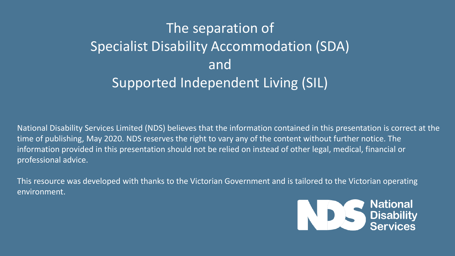# The separation of Specialist Disability Accommodation (SDA) and Supported Independent Living (SIL)

National Disability Services Limited (NDS) believes that the information contained in this presentation is correct at the time of publishing, May 2020. NDS reserves the right to vary any of the content without further notice. The information provided in this presentation should not be relied on instead of other legal, medical, financial or professional advice.

This resource was developed with thanks to the Victorian Government and is tailored to the Victorian operating environment.

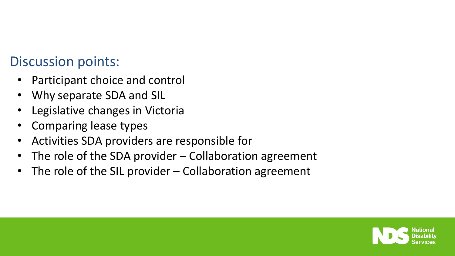#### Discussion points:

- Participant choice and control
- Why separate SDA and SIL
- Legislative changes in Victoria
- Comparing lease types
- Activities SDA providers are responsible for
- The role of the SDA provider  $-$  Collaboration agreement
- The role of the SIL provider  $-$  Collaboration agreement

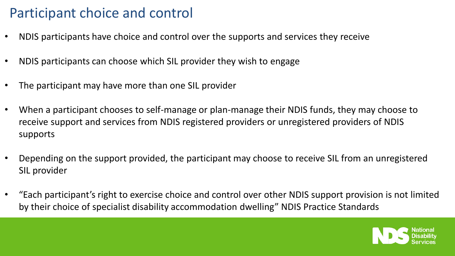# Participant choice and control

- NDIS participants have choice and control over the supports and services they receive
- NDIS participants can choose which SIL provider they wish to engage
- The participant may have more than one SIL provider
- When a participant chooses to self-manage or plan-manage their NDIS funds, they may choose to receive support and services from NDIS registered providers or unregistered providers of NDIS supports
- Depending on the support provided, the participant may choose to receive SIL from an unregistered SIL provider
- "Each participant's right to exercise choice and control over other NDIS support provision is not limited by their choice of specialist disability accommodation dwelling" NDIS Practice Standards

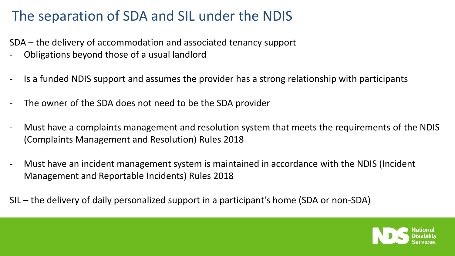# The separation of SDA and SIL under the NDIS

SDA – the delivery of accommodation and associated tenancy support

- Obligations beyond those of a usual landlord
- Is a funded NDIS support and assumes the provider has a strong relationship with participants
- The owner of the SDA does not need to be the SDA provider
- Must have a complaints management and resolution system that meets the requirements of the NDIS (Complaints Management and Resolution) Rules 2018
- Must have an incident management system is maintained in accordance with the NDIS (Incident Management and Reportable Incidents) Rules 2018
- SIL the delivery of daily personalized support in a participant's home (SDA or non-SDA)

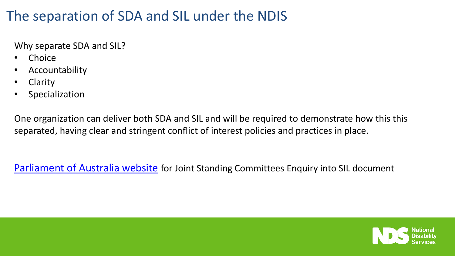# The separation of SDA and SIL under the NDIS

Why separate SDA and SIL?

- Choice
- Accountability
- Clarity
- Specialization

One organization can deliver both SDA and SIL and will be required to demonstrate how this this separated, having clear and stringent conflict of interest policies and practices in place.

[Parliament of Australia website](https://www.aph.gov.au/Parliamentary_Business/Committees/Joint/National_Disability_Insurance_Scheme/Independentliving/Report) for Joint Standing Committees Enquiry into SIL document

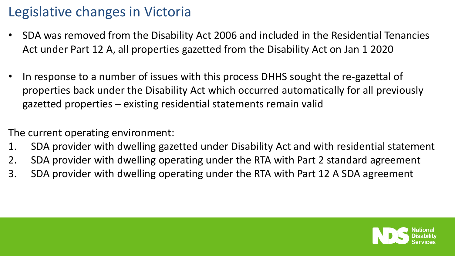# Legislative changes in Victoria

- SDA was removed from the Disability Act 2006 and included in the Residential Tenancies Act under Part 12 A, all properties gazetted from the Disability Act on Jan 1 2020
- In response to a number of issues with this process DHHS sought the re-gazettal of properties back under the Disability Act which occurred automatically for all previously gazetted properties – existing residential statements remain valid

The current operating environment:

- 1. SDA provider with dwelling gazetted under Disability Act and with residential statement
- 2. SDA provider with dwelling operating under the RTA with Part 2 standard agreement
- 3. SDA provider with dwelling operating under the RTA with Part 12 A SDA agreement

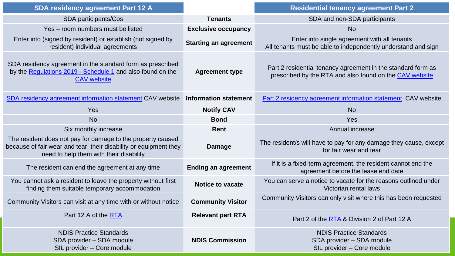| <b>SDA residency agreement Part 12 A</b>                                                                                                                                    |                              | <b>Residential tenancy agreement Part 2</b>                                                                             |  |
|-----------------------------------------------------------------------------------------------------------------------------------------------------------------------------|------------------------------|-------------------------------------------------------------------------------------------------------------------------|--|
| SDA participants/Cos                                                                                                                                                        | <b>Tenants</b>               | SDA and non-SDA participants                                                                                            |  |
| Yes - room numbers must be listed                                                                                                                                           | <b>Exclusive occupancy</b>   | <b>No</b>                                                                                                               |  |
| Enter into (signed by resident) or establish (not signed by<br>resident) individual agreements                                                                              | <b>Starting an agreement</b> | Enter into single agreement with all tenants<br>All tenants must be able to independently understand and sign           |  |
| SDA residency agreement in the standard form as prescribed<br>by the Regulations 2019 - Schedule 1 and also found on the<br><b>CAV</b> website                              | <b>Agreement type</b>        | Part 2 residential tenancy agreement in the standard form as<br>prescribed by the RTA and also found on the CAV website |  |
| SDA residency agreement information statement CAV website                                                                                                                   | <b>Information statement</b> | Part 2 residency agreement information statement CAV website                                                            |  |
| Yes                                                                                                                                                                         | <b>Notify CAV</b>            | <b>No</b>                                                                                                               |  |
| <b>No</b>                                                                                                                                                                   | <b>Bond</b>                  | Yes                                                                                                                     |  |
| Six monthly increase                                                                                                                                                        | Rent                         | Annual increase                                                                                                         |  |
| The resident does not pay for damage to the property caused<br>because of fair wear and tear, their disability or equipment they<br>need to help them with their disability | <b>Damage</b>                | The resident/s will have to pay for any damage they cause, except<br>for fair wear and tear                             |  |
| The resident can end the agreement at any time                                                                                                                              | <b>Ending an agreement</b>   | If it is a fixed-term agreement, the resident cannot end the<br>agreement before the lease end date                     |  |
| You cannot ask a resident to leave the property without first<br>finding them suitable temporary accommodation                                                              | <b>Notice to vacate</b>      | You can serve a notice to vacate for the reasons outlined under<br>Victorian rental laws                                |  |
| Community Visitors can visit at any time with or without notice                                                                                                             | <b>Community Visitor</b>     | Community Visitors can only visit where this has been requested                                                         |  |
| Part 12 A of the RTA                                                                                                                                                        | <b>Relevant part RTA</b>     | Part 2 of the RTA & Division 2 of Part 12 A                                                                             |  |
| <b>NDIS Practice Standards</b><br>SDA provider - SDA module<br>SIL provider - Core module                                                                                   | <b>NDIS Commission</b>       | <b>NDIS Practice Standards</b><br>SDA provider - SDA module<br>SIL provider - Core module                               |  |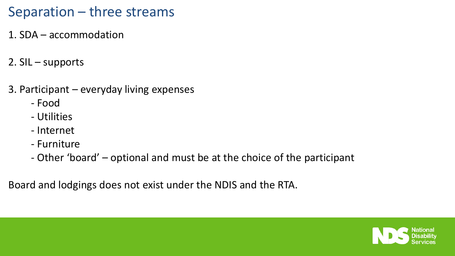## Separation – three streams

- 1. SDA accommodation
- 2. SIL supports
- 3. Participant everyday living expenses
	- Food
	- Utilities
	- Internet
	- Furniture
	- Other 'board' optional and must be at the choice of the participant

Board and lodgings does not exist under the NDIS and the RTA.

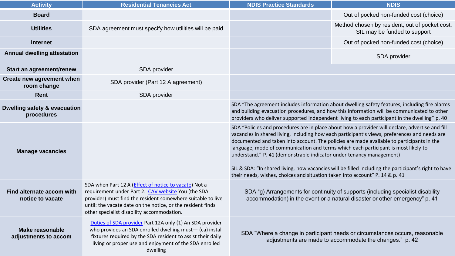| <b>Activity</b>                                | <b>Residential Tenancies Act</b>                                                                                                                                                                                                                                                        | <b>NDIS Practice Standards</b>                                                                                                                                                                                                                                                                                                                                                                                                                                                                                                                                                                                                                      | <b>NDIS</b>                                                                                                                                                                                                                                                                                  |
|------------------------------------------------|-----------------------------------------------------------------------------------------------------------------------------------------------------------------------------------------------------------------------------------------------------------------------------------------|-----------------------------------------------------------------------------------------------------------------------------------------------------------------------------------------------------------------------------------------------------------------------------------------------------------------------------------------------------------------------------------------------------------------------------------------------------------------------------------------------------------------------------------------------------------------------------------------------------------------------------------------------------|----------------------------------------------------------------------------------------------------------------------------------------------------------------------------------------------------------------------------------------------------------------------------------------------|
| <b>Board</b>                                   |                                                                                                                                                                                                                                                                                         |                                                                                                                                                                                                                                                                                                                                                                                                                                                                                                                                                                                                                                                     | Out of pocked non-funded cost (choice)                                                                                                                                                                                                                                                       |
| <b>Utilities</b>                               | SDA agreement must specify how utilities will be paid                                                                                                                                                                                                                                   |                                                                                                                                                                                                                                                                                                                                                                                                                                                                                                                                                                                                                                                     | Method chosen by resident, out of pocket cost,<br>SIL may be funded to support                                                                                                                                                                                                               |
| <b>Internet</b>                                |                                                                                                                                                                                                                                                                                         |                                                                                                                                                                                                                                                                                                                                                                                                                                                                                                                                                                                                                                                     | Out of pocked non-funded cost (choice)                                                                                                                                                                                                                                                       |
| Annual dwelling attestation                    |                                                                                                                                                                                                                                                                                         |                                                                                                                                                                                                                                                                                                                                                                                                                                                                                                                                                                                                                                                     | SDA provider                                                                                                                                                                                                                                                                                 |
| Start an agreement/renew                       | SDA provider                                                                                                                                                                                                                                                                            |                                                                                                                                                                                                                                                                                                                                                                                                                                                                                                                                                                                                                                                     |                                                                                                                                                                                                                                                                                              |
| Create new agreement when<br>room change       | SDA provider (Part 12 A agreement)                                                                                                                                                                                                                                                      |                                                                                                                                                                                                                                                                                                                                                                                                                                                                                                                                                                                                                                                     |                                                                                                                                                                                                                                                                                              |
| Rent                                           | SDA provider                                                                                                                                                                                                                                                                            |                                                                                                                                                                                                                                                                                                                                                                                                                                                                                                                                                                                                                                                     |                                                                                                                                                                                                                                                                                              |
| Dwelling safety & evacuation<br>procedures     |                                                                                                                                                                                                                                                                                         |                                                                                                                                                                                                                                                                                                                                                                                                                                                                                                                                                                                                                                                     | SDA "The agreement includes information about dwelling safety features, including fire alarms<br>and building evacuation procedures, and how this information will be communicated to other<br>providers who deliver supported independent living to each participant in the dwelling" p. 40 |
| <b>Manage vacancies</b>                        |                                                                                                                                                                                                                                                                                         | SDA "Policies and procedures are in place about how a provider will declare, advertise and fill<br>vacancies in shared living, including how each participant's views, preferences and needs are<br>documented and taken into account. The policies are made available to participants in the<br>language, mode of communication and terms which each participant is most likely to<br>understand." P. 41 (demonstrable indicator under tenancy management)<br>SIL & SDA: "In shared living, how vacancies will be filled including the participant's right to have<br>their needs, wishes, choices and situation taken into account" P. 14 & p. 41 |                                                                                                                                                                                                                                                                                              |
| Find alternate accom with<br>notice to vacate  | SDA when Part 12 A (Effect of notice to vacate) Not a<br>requirement under Part 2. CAV website You (the SDA<br>provider) must find the resident somewhere suitable to live<br>until: the vacate date on the notice, or the resident finds<br>other specialist disability accommodation. | SDA "g) Arrangements for continuity of supports (including specialist disability<br>accommodation) in the event or a natural disaster or other emergency" p. 41                                                                                                                                                                                                                                                                                                                                                                                                                                                                                     |                                                                                                                                                                                                                                                                                              |
| <b>Make reasonable</b><br>adjustments to accom | Duties of SDA provider Part 12A only (1) An SDA provider<br>who provides an SDA enrolled dwelling must- (ca) install<br>fixtures required by the SDA resident to assist their daily<br>living or proper use and enjoyment of the SDA enrolled<br>dwelling                               |                                                                                                                                                                                                                                                                                                                                                                                                                                                                                                                                                                                                                                                     | SDA "Where a change in participant needs or circumstances occurs, reasonable<br>adjustments are made to accommodate the changes." p. 42                                                                                                                                                      |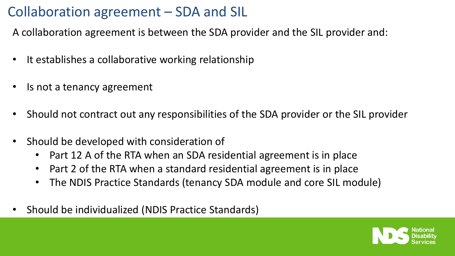# Collaboration agreement – SDA and SIL

A collaboration agreement is between the SDA provider and the SIL provider and:

- It establishes a collaborative working relationship
- Is not a tenancy agreement
- Should not contract out any responsibilities of the SDA provider or the SIL provider
- Should be developed with consideration of
	- Part 12 A of the RTA when an SDA residential agreement is in place
	- Part 2 of the RTA when a standard residential agreement is in place
	- The NDIS Practice Standards (tenancy SDA module and core SIL module)
- Should be individualized (NDIS Practice Standards)

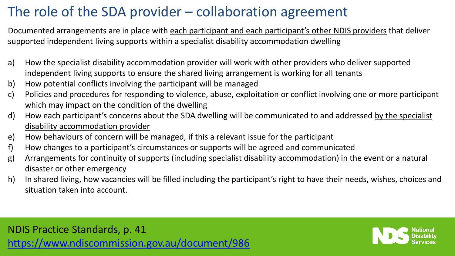# The role of the SDA provider – collaboration agreement

Documented arrangements are in place with each participant and each participant's other NDIS providers that deliver supported independent living supports within a specialist disability accommodation dwelling

- a) How the specialist disability accommodation provider will work with other providers who deliver supported independent living supports to ensure the shared living arrangement is working for all tenants
- b) How potential conflicts involving the participant will be managed
- c) Policies and procedures for responding to violence, abuse, exploitation or conflict involving one or more participant which may impact on the condition of the dwelling
- d) How each participant's concerns about the SDA dwelling will be communicated to and addressed by the specialist disability accommodation provider
- e) How behaviours of concern will be managed, if this a relevant issue for the participant
- f) How changes to a participant's circumstances or supports will be agreed and communicated
- g) Arrangements for continuity of supports (including specialist disability accommodation) in the event or a natural disaster or other emergency
- h) In shared living, how vacancies will be filled including the participant's right to have their needs, wishes, choices and situation taken into account.

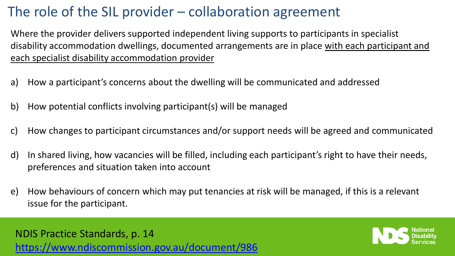# The role of the SIL provider – collaboration agreement

Where the provider delivers supported independent living supports to participants in specialist disability accommodation dwellings, documented arrangements are in place with each participant and each specialist disability accommodation provider

- a) How a participant's concerns about the dwelling will be communicated and addressed
- b) How potential conflicts involving participant(s) will be managed
- c) How changes to participant circumstances and/or support needs will be agreed and communicated
- d) In shared living, how vacancies will be filled, including each participant's right to have their needs, preferences and situation taken into account
- e) How behaviours of concern which may put tenancies at risk will be managed, if this is a relevant issue for the participant.

NDIS Practice Standards, p. 14 <https://www.ndiscommission.gov.au/document/986>

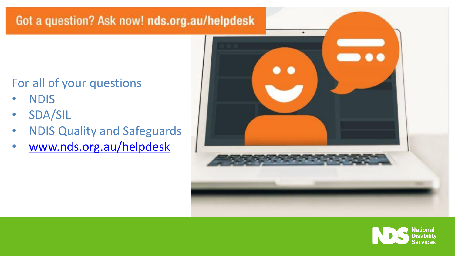#### Got a question? Ask now! nds.org.au/helpdesk

# For all of your questions

- NDIS
- SDA/SIL
- NDIS Quality and Safeguards
- [www.nds.org.au/helpdesk](http://www.nds.org.au/helpdesk)